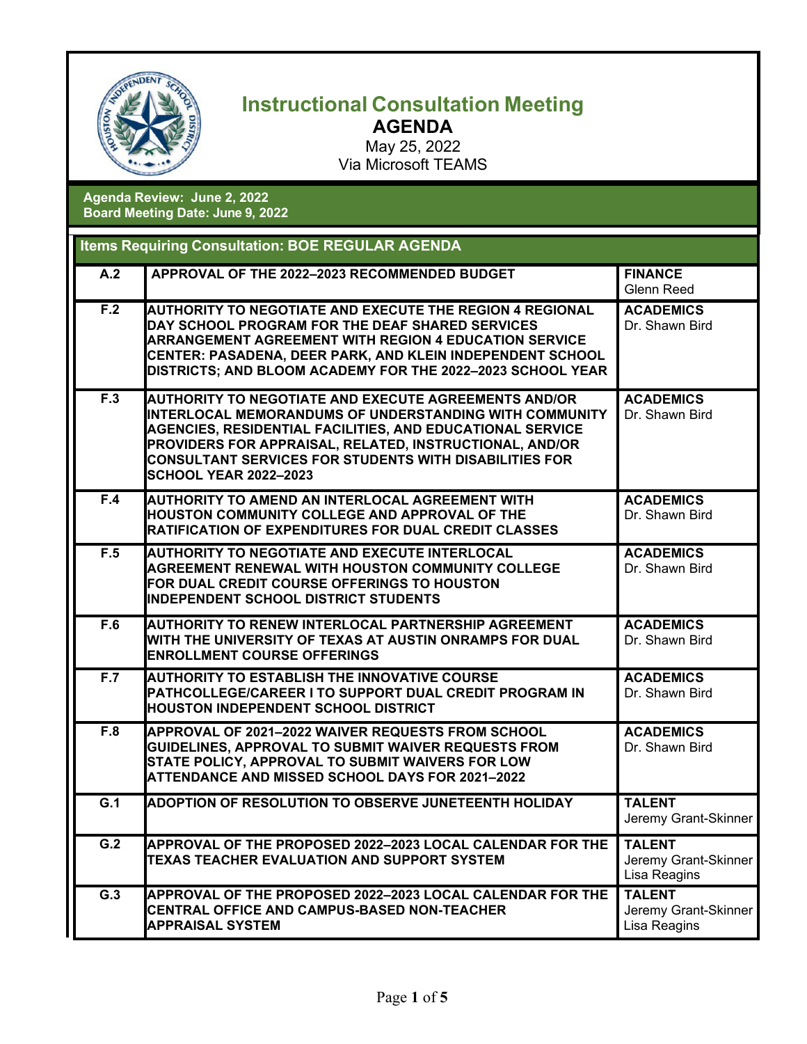

## **Instructional Consultation Meeting AGENDA**

May 25, 2022 Via Microsoft TEAMS

## **Agenda Review: June 2, 2022 Board Meeting Date: June 9, 2022**

|     | <b>Items Requiring Consultation: BOE REGULAR AGENDA</b>                                                                                                                                                                                                                                                                                                        |                                                       |
|-----|----------------------------------------------------------------------------------------------------------------------------------------------------------------------------------------------------------------------------------------------------------------------------------------------------------------------------------------------------------------|-------------------------------------------------------|
| A.2 | APPROVAL OF THE 2022-2023 RECOMMENDED BUDGET                                                                                                                                                                                                                                                                                                                   | <b>FINANCE</b><br>Glenn Reed                          |
| F.2 | <b>AUTHORITY TO NEGOTIATE AND EXECUTE THE REGION 4 REGIONAL</b><br>DAY SCHOOL PROGRAM FOR THE DEAF SHARED SERVICES<br><b>ARRANGEMENT AGREEMENT WITH REGION 4 EDUCATION SERVICE</b><br>CENTER: PASADENA, DEER PARK, AND KLEIN INDEPENDENT SCHOOL<br>DISTRICTS; AND BLOOM ACADEMY FOR THE 2022-2023 SCHOOL YEAR                                                  | <b>ACADEMICS</b><br>Dr. Shawn Bird                    |
| F.3 | <b>AUTHORITY TO NEGOTIATE AND EXECUTE AGREEMENTS AND/OR</b><br><b>I</b> INTERLOCAL MEMORANDUMS OF UNDERSTANDING WITH COMMUNITY<br><b>AGENCIES, RESIDENTIAL FACILITIES, AND EDUCATIONAL SERVICE</b><br>PROVIDERS FOR APPRAISAL, RELATED, INSTRUCTIONAL, AND/OR<br><b>CONSULTANT SERVICES FOR STUDENTS WITH DISABILITIES FOR</b><br><b>SCHOOL YEAR 2022-2023</b> | <b>ACADEMICS</b><br>Dr. Shawn Bird                    |
| F.4 | <b>AUTHORITY TO AMEND AN INTERLOCAL AGREEMENT WITH</b><br><b>HOUSTON COMMUNITY COLLEGE AND APPROVAL OF THE</b><br><b>RATIFICATION OF EXPENDITURES FOR DUAL CREDIT CLASSES</b>                                                                                                                                                                                  | <b>ACADEMICS</b><br>Dr. Shawn Bird                    |
| F.5 | <b>AUTHORITY TO NEGOTIATE AND EXECUTE INTERLOCAL</b><br><b>AGREEMENT RENEWAL WITH HOUSTON COMMUNITY COLLEGE</b><br>FOR DUAL CREDIT COURSE OFFERINGS TO HOUSTON<br><b>INDEPENDENT SCHOOL DISTRICT STUDENTS</b>                                                                                                                                                  | <b>ACADEMICS</b><br>Dr. Shawn Bird                    |
| F.6 | <b>AUTHORITY TO RENEW INTERLOCAL PARTNERSHIP AGREEMENT</b><br>WITH THE UNIVERSITY OF TEXAS AT AUSTIN ONRAMPS FOR DUAL<br><b>ENROLLMENT COURSE OFFERINGS</b>                                                                                                                                                                                                    | <b>ACADEMICS</b><br>Dr. Shawn Bird                    |
| F.7 | <b>AUTHORITY TO ESTABLISH THE INNOVATIVE COURSE</b><br>PATHCOLLEGE/CAREER I TO SUPPORT DUAL CREDIT PROGRAM IN<br><b>HOUSTON INDEPENDENT SCHOOL DISTRICT</b>                                                                                                                                                                                                    | <b>ACADEMICS</b><br>Dr. Shawn Bird                    |
| F.8 | APPROVAL OF 2021-2022 WAIVER REQUESTS FROM SCHOOL<br>GUIDELINES, APPROVAL TO SUBMIT WAIVER REQUESTS FROM<br>STATE POLICY, APPROVAL TO SUBMIT WAIVERS FOR LOW<br><b>ATTENDANCE AND MISSED SCHOOL DAYS FOR 2021-2022</b>                                                                                                                                         | <b>ACADEMICS</b><br>Dr. Shawn Bird                    |
| G.1 | <b>ADOPTION OF RESOLUTION TO OBSERVE JUNETEENTH HOLIDAY</b>                                                                                                                                                                                                                                                                                                    | <b>TALENT</b><br>Jeremy Grant-Skinner                 |
| G.2 | APPROVAL OF THE PROPOSED 2022-2023 LOCAL CALENDAR FOR THE<br>TEXAS TEACHER EVALUATION AND SUPPORT SYSTEM                                                                                                                                                                                                                                                       | <b>TALENT</b><br>Jeremy Grant-Skinner<br>Lisa Reagins |
| G.3 | APPROVAL OF THE PROPOSED 2022-2023 LOCAL CALENDAR FOR THE<br>CENTRAL OFFICE AND CAMPUS-BASED NON-TEACHER<br><b>APPRAISAL SYSTEM</b>                                                                                                                                                                                                                            | <b>TALENT</b><br>Jeremy Grant-Skinner<br>Lisa Reagins |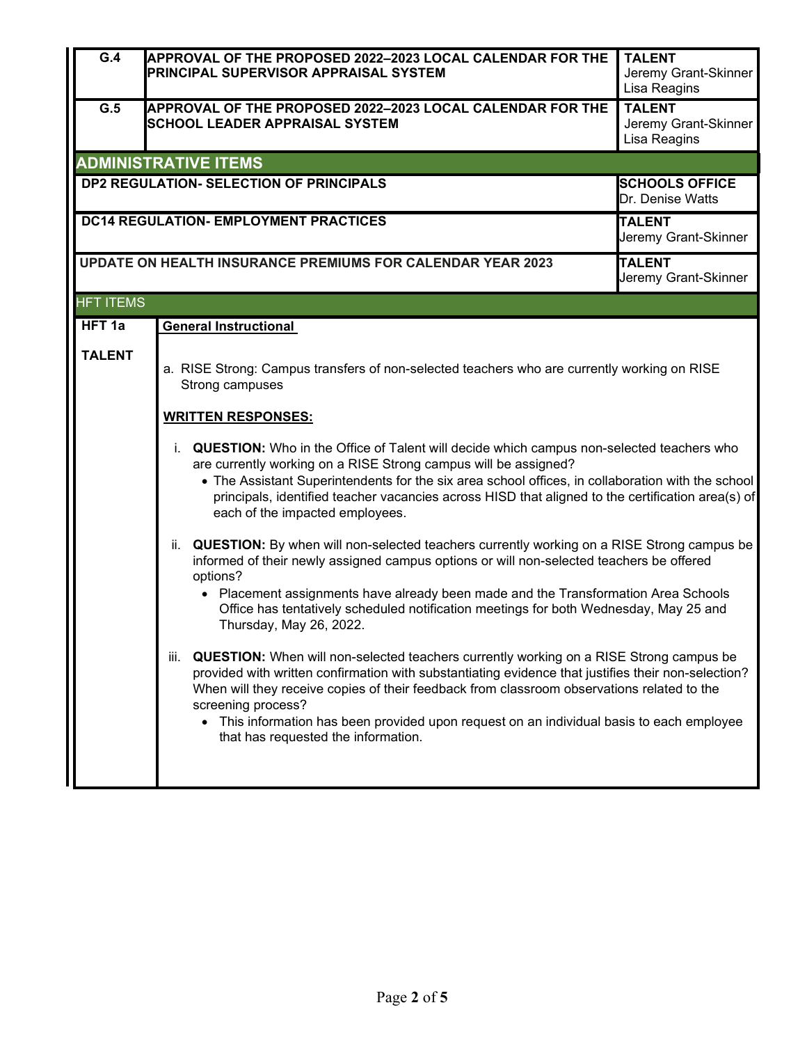| $\overline{G.4}$  | <b>APPROVAL OF THE PROPOSED 2022-2023 LOCAL CALENDAR FOR THE</b><br><b>PRINCIPAL SUPERVISOR APPRAISAL SYSTEM</b>                                                                                                                                                                                                                                                                                                                                           | <b>TALENT</b><br>Jeremy Grant-Skinner<br>Lisa Reagins |
|-------------------|------------------------------------------------------------------------------------------------------------------------------------------------------------------------------------------------------------------------------------------------------------------------------------------------------------------------------------------------------------------------------------------------------------------------------------------------------------|-------------------------------------------------------|
| $\overline{G.5}$  | APPROVAL OF THE PROPOSED 2022-2023 LOCAL CALENDAR FOR THE<br><b>SCHOOL LEADER APPRAISAL SYSTEM</b>                                                                                                                                                                                                                                                                                                                                                         | <b>TALENT</b><br>Jeremy Grant-Skinner<br>Lisa Reagins |
|                   | <b>ADMINISTRATIVE ITEMS</b>                                                                                                                                                                                                                                                                                                                                                                                                                                |                                                       |
|                   | <b>DP2 REGULATION- SELECTION OF PRINCIPALS</b>                                                                                                                                                                                                                                                                                                                                                                                                             | <b>SCHOOLS OFFICE</b><br>Dr. Denise Watts             |
|                   | <b>DC14 REGULATION- EMPLOYMENT PRACTICES</b>                                                                                                                                                                                                                                                                                                                                                                                                               | <b>TALENT</b><br>Jeremy Grant-Skinner                 |
|                   | <b>UPDATE ON HEALTH INSURANCE PREMIUMS FOR CALENDAR YEAR 2023</b>                                                                                                                                                                                                                                                                                                                                                                                          | <b>TALENT</b><br>Jeremy Grant-Skinner                 |
| <b>HFT ITEMS</b>  |                                                                                                                                                                                                                                                                                                                                                                                                                                                            |                                                       |
| HFT <sub>1a</sub> | <b>General Instructional</b>                                                                                                                                                                                                                                                                                                                                                                                                                               |                                                       |
| <b>TALENT</b>     | a. RISE Strong: Campus transfers of non-selected teachers who are currently working on RISE<br>Strong campuses<br><b>WRITTEN RESPONSES:</b><br>i. QUESTION: Who in the Office of Talent will decide which campus non-selected teachers who                                                                                                                                                                                                                 |                                                       |
|                   | are currently working on a RISE Strong campus will be assigned?<br>• The Assistant Superintendents for the six area school offices, in collaboration with the school<br>principals, identified teacher vacancies across HISD that aligned to the certification area(s) of<br>each of the impacted employees.                                                                                                                                               |                                                       |
|                   | ii. QUESTION: By when will non-selected teachers currently working on a RISE Strong campus be<br>informed of their newly assigned campus options or will non-selected teachers be offered<br>options?<br>• Placement assignments have already been made and the Transformation Area Schools<br>Office has tentatively scheduled notification meetings for both Wednesday, May 25 and<br>Thursday, May 26, 2022.                                            |                                                       |
|                   | iii. QUESTION: When will non-selected teachers currently working on a RISE Strong campus be<br>provided with written confirmation with substantiating evidence that justifies their non-selection?<br>When will they receive copies of their feedback from classroom observations related to the<br>screening process?<br>• This information has been provided upon request on an individual basis to each employee<br>that has requested the information. |                                                       |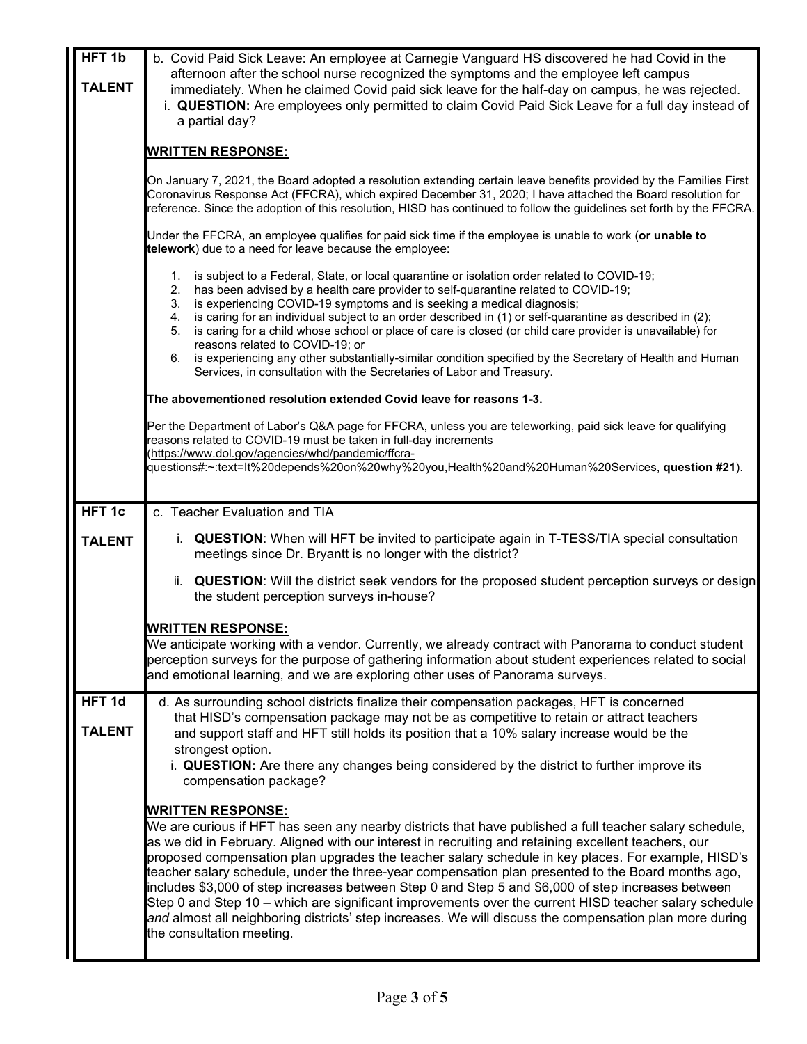| HFT <sub>1b</sub><br><b>TALENT</b> | b. Covid Paid Sick Leave: An employee at Carnegie Vanguard HS discovered he had Covid in the<br>afternoon after the school nurse recognized the symptoms and the employee left campus<br>immediately. When he claimed Covid paid sick leave for the half-day on campus, he was rejected.<br>i. QUESTION: Are employees only permitted to claim Covid Paid Sick Leave for a full day instead of<br>a partial day?                                                                                                                                                                                                                                                                                                                                                                                               |
|------------------------------------|----------------------------------------------------------------------------------------------------------------------------------------------------------------------------------------------------------------------------------------------------------------------------------------------------------------------------------------------------------------------------------------------------------------------------------------------------------------------------------------------------------------------------------------------------------------------------------------------------------------------------------------------------------------------------------------------------------------------------------------------------------------------------------------------------------------|
|                                    | <u>WRITTEN RESPONSE:</u>                                                                                                                                                                                                                                                                                                                                                                                                                                                                                                                                                                                                                                                                                                                                                                                       |
|                                    | On January 7, 2021, the Board adopted a resolution extending certain leave benefits provided by the Families First<br>Coronavirus Response Act (FFCRA), which expired December 31, 2020; I have attached the Board resolution for<br>reference. Since the adoption of this resolution, HISD has continued to follow the guidelines set forth by the FFCRA.                                                                                                                                                                                                                                                                                                                                                                                                                                                     |
|                                    | Under the FFCRA, an employee qualifies for paid sick time if the employee is unable to work (or unable to<br>telework) due to a need for leave because the employee:                                                                                                                                                                                                                                                                                                                                                                                                                                                                                                                                                                                                                                           |
|                                    | 1. is subject to a Federal, State, or local quarantine or isolation order related to COVID-19;<br>has been advised by a health care provider to self-quarantine related to COVID-19;<br>2.<br>3. is experiencing COVID-19 symptoms and is seeking a medical diagnosis;<br>4. is caring for an individual subject to an order described in (1) or self-quarantine as described in (2);<br>is caring for a child whose school or place of care is closed (or child care provider is unavailable) for<br>5.<br>reasons related to COVID-19; or<br>6. is experiencing any other substantially-similar condition specified by the Secretary of Health and Human<br>Services, in consultation with the Secretaries of Labor and Treasury.                                                                            |
|                                    | The abovementioned resolution extended Covid leave for reasons 1-3.                                                                                                                                                                                                                                                                                                                                                                                                                                                                                                                                                                                                                                                                                                                                            |
|                                    | Per the Department of Labor's Q&A page for FFCRA, unless you are teleworking, paid sick leave for qualifying<br>reasons related to COVID-19 must be taken in full-day increments<br>(https://www.dol.gov/agencies/whd/pandemic/ffcra-<br>questions#:~:text=lt%20depends%20on%20why%20you,Health%20and%20Human%20Services, question #21).                                                                                                                                                                                                                                                                                                                                                                                                                                                                       |
|                                    |                                                                                                                                                                                                                                                                                                                                                                                                                                                                                                                                                                                                                                                                                                                                                                                                                |
| HFT <sub>1c</sub>                  | c. Teacher Evaluation and TIA                                                                                                                                                                                                                                                                                                                                                                                                                                                                                                                                                                                                                                                                                                                                                                                  |
| <b>TALENT</b>                      | i. QUESTION: When will HFT be invited to participate again in T-TESS/TIA special consultation<br>meetings since Dr. Bryantt is no longer with the district?                                                                                                                                                                                                                                                                                                                                                                                                                                                                                                                                                                                                                                                    |
|                                    | QUESTION: Will the district seek vendors for the proposed student perception surveys or design<br>ii.<br>the student perception surveys in-house?                                                                                                                                                                                                                                                                                                                                                                                                                                                                                                                                                                                                                                                              |
|                                    | <b>WRITTEN RESPONSE:</b><br>We anticipate working with a vendor. Currently, we already contract with Panorama to conduct student<br>perception surveys for the purpose of gathering information about student experiences related to social<br>and emotional learning, and we are exploring other uses of Panorama surveys.                                                                                                                                                                                                                                                                                                                                                                                                                                                                                    |
| HFT <sub>1d</sub><br><b>TALENT</b> | d. As surrounding school districts finalize their compensation packages, HFT is concerned<br>that HISD's compensation package may not be as competitive to retain or attract teachers<br>and support staff and HFT still holds its position that a 10% salary increase would be the<br>strongest option.<br>i. QUESTION: Are there any changes being considered by the district to further improve its                                                                                                                                                                                                                                                                                                                                                                                                         |
|                                    | compensation package?                                                                                                                                                                                                                                                                                                                                                                                                                                                                                                                                                                                                                                                                                                                                                                                          |
|                                    | <b>WRITTEN RESPONSE:</b><br>We are curious if HFT has seen any nearby districts that have published a full teacher salary schedule,<br>as we did in February. Aligned with our interest in recruiting and retaining excellent teachers, our<br>proposed compensation plan upgrades the teacher salary schedule in key places. For example, HISD's<br>teacher salary schedule, under the three-year compensation plan presented to the Board months ago,<br>includes \$3,000 of step increases between Step 0 and Step 5 and \$6,000 of step increases between<br>Step 0 and Step 10 – which are significant improvements over the current HISD teacher salary schedule<br>and almost all neighboring districts' step increases. We will discuss the compensation plan more during<br>the consultation meeting. |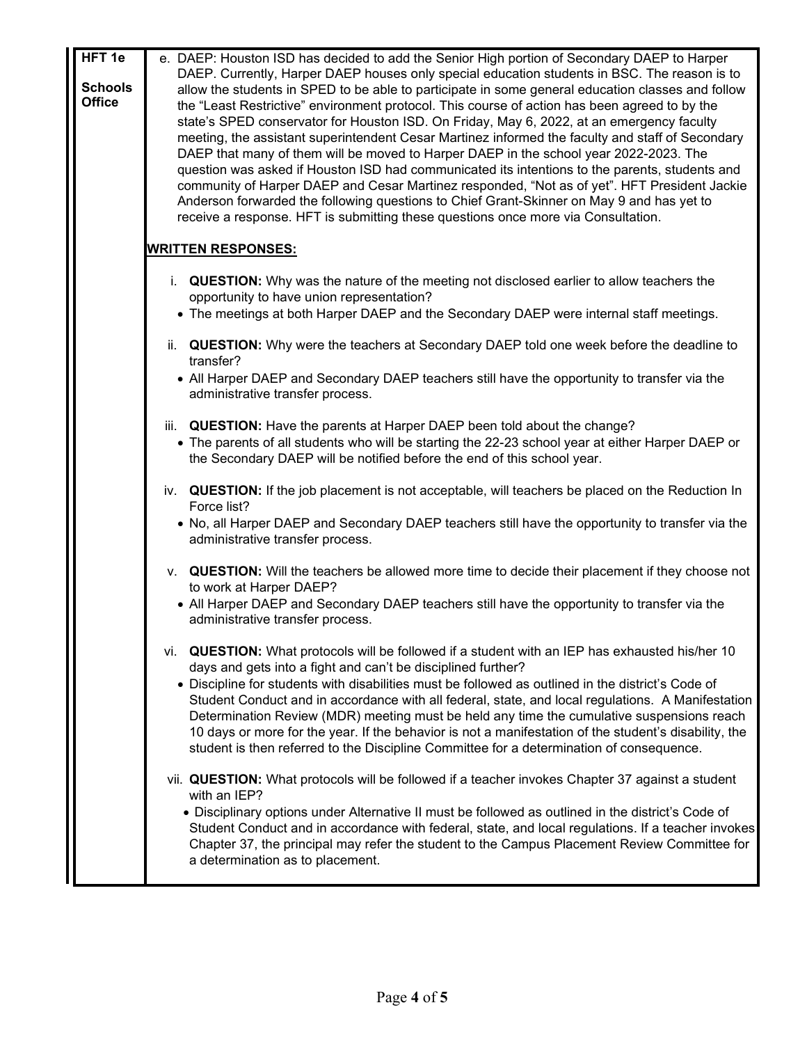| HFT <sub>1e</sub> | e. DAEP: Houston ISD has decided to add the Senior High portion of Secondary DAEP to Harper             |
|-------------------|---------------------------------------------------------------------------------------------------------|
| <b>Schools</b>    | DAEP. Currently, Harper DAEP houses only special education students in BSC. The reason is to            |
| <b>Office</b>     | allow the students in SPED to be able to participate in some general education classes and follow       |
|                   | the "Least Restrictive" environment protocol. This course of action has been agreed to by the           |
|                   | state's SPED conservator for Houston ISD. On Friday, May 6, 2022, at an emergency faculty               |
|                   | meeting, the assistant superintendent Cesar Martinez informed the faculty and staff of Secondary        |
|                   | DAEP that many of them will be moved to Harper DAEP in the school year 2022-2023. The                   |
|                   | question was asked if Houston ISD had communicated its intentions to the parents, students and          |
|                   | community of Harper DAEP and Cesar Martinez responded, "Not as of yet". HFT President Jackie            |
|                   | Anderson forwarded the following questions to Chief Grant-Skinner on May 9 and has yet to               |
|                   | receive a response. HFT is submitting these questions once more via Consultation.                       |
|                   | <b>WRITTEN RESPONSES:</b>                                                                               |
|                   | i. QUESTION: Why was the nature of the meeting not disclosed earlier to allow teachers the              |
|                   | opportunity to have union representation?                                                               |
|                   | • The meetings at both Harper DAEP and the Secondary DAEP were internal staff meetings.                 |
|                   |                                                                                                         |
|                   | ii. QUESTION: Why were the teachers at Secondary DAEP told one week before the deadline to<br>transfer? |
|                   | • All Harper DAEP and Secondary DAEP teachers still have the opportunity to transfer via the            |
|                   | administrative transfer process.                                                                        |
|                   |                                                                                                         |
|                   | iii. QUESTION: Have the parents at Harper DAEP been told about the change?                              |
|                   | • The parents of all students who will be starting the 22-23 school year at either Harper DAEP or       |
|                   | the Secondary DAEP will be notified before the end of this school year.                                 |
|                   | iv. QUESTION: If the job placement is not acceptable, will teachers be placed on the Reduction In       |
|                   | Force list?                                                                                             |
|                   | • No, all Harper DAEP and Secondary DAEP teachers still have the opportunity to transfer via the        |
|                   | administrative transfer process.                                                                        |
|                   |                                                                                                         |
|                   | v. QUESTION: Will the teachers be allowed more time to decide their placement if they choose not        |
|                   | to work at Harper DAEP?                                                                                 |
|                   | • All Harper DAEP and Secondary DAEP teachers still have the opportunity to transfer via the            |
|                   | administrative transfer process.                                                                        |
|                   |                                                                                                         |
|                   | vi. QUESTION: What protocols will be followed if a student with an IEP has exhausted his/her 10         |
|                   | days and gets into a fight and can't be disciplined further?                                            |
|                   | • Discipline for students with disabilities must be followed as outlined in the district's Code of      |
|                   | Student Conduct and in accordance with all federal, state, and local regulations. A Manifestation       |
|                   | Determination Review (MDR) meeting must be held any time the cumulative suspensions reach               |
|                   | 10 days or more for the year. If the behavior is not a manifestation of the student's disability, the   |
|                   | student is then referred to the Discipline Committee for a determination of consequence.                |
|                   | vii. QUESTION: What protocols will be followed if a teacher invokes Chapter 37 against a student        |
|                   | with an IEP?                                                                                            |
|                   | • Disciplinary options under Alternative II must be followed as outlined in the district's Code of      |
|                   | Student Conduct and in accordance with federal, state, and local regulations. If a teacher invokes      |
|                   | Chapter 37, the principal may refer the student to the Campus Placement Review Committee for            |
|                   | a determination as to placement.                                                                        |
|                   |                                                                                                         |